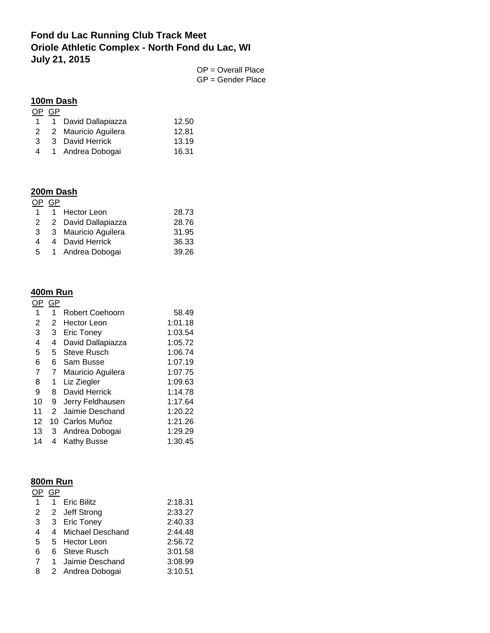# **Fond du Lac Running Club Track Meet Oriole Athletic Complex - North Fond du Lac, WI July 21, 2015**

OP = Overall Place GP = Gender Place

### **100m Dash**

| 0P           | GP. |                     |       |
|--------------|-----|---------------------|-------|
| $\mathbf{1}$ |     | 1 David Dallapiazza | 12.50 |
| 2            |     | 2 Mauricio Aguilera | 12.81 |
| 3            |     | 3 David Herrick     | 13.19 |
| 4            |     | 1 Andrea Dobogai    | 16.31 |
|              |     |                     |       |

# **200m Dash**

| GP |                                                                                                    |
|----|----------------------------------------------------------------------------------------------------|
|    | 28.73                                                                                              |
| 2  | 28.76                                                                                              |
|    | 31.95                                                                                              |
|    | 36.33                                                                                              |
|    | 39.26                                                                                              |
|    | 1 Hector Leon<br>2 David Dallapiazza<br>3 Mauricio Aguilera<br>4 David Herrick<br>1 Andrea Dobogai |

# **400m Run**

| OP. | GP          |                    |         |
|-----|-------------|--------------------|---------|
| 1   | 1           | Robert Coehoorn    | 58.49   |
| 2   | 2           | Hector Leon        | 1:01.18 |
| 3   | 3           | <b>Eric Toney</b>  | 1:03.54 |
| 4   | 4           | David Dallapiazza  | 1:05.72 |
| 5   | 5           | <b>Steve Rusch</b> | 1:06.74 |
| 6   | 6           | Sam Busse          | 1:07.19 |
| 7   | $7^{\circ}$ | Mauricio Aguilera  | 1:07.75 |
| 8   | $\mathbf 1$ | Liz Ziegler        | 1:09.63 |
| 9   |             | 8 David Herrick    | 1:14.78 |
| 10  | 9           | Jerry Feldhausen   | 1:17.64 |
| 11  | 2           | Jaimie Deschand    | 1:20.22 |
| 12  | 10          | Carlos Muñoz       | 1:21.26 |
| 13  | 3           | Andrea Dobogai     | 1:29.29 |
| 14  | 4           | <b>Kathy Busse</b> | 1:30.45 |

# **800m Run**

| OΡ          | GP           |                    |         |
|-------------|--------------|--------------------|---------|
| 1           | $\mathbf{1}$ | <b>Eric Bilitz</b> | 2:18.31 |
| $2^{\circ}$ |              | 2 Jeff Strong      | 2:33.27 |
| $3^{\circ}$ |              | 3 Eric Toney       | 2:40.33 |
| 4           |              | 4 Michael Deschand | 2:44.48 |
| 5           |              | 5 Hector Leon      | 2:56.72 |
| 6           |              | 6 Steve Rusch      | 3:01.58 |
| 7           |              | 1 Jaimie Deschand  | 3:08.99 |
| 8           |              | 2 Andrea Dobogai   | 3:10.51 |
|             |              |                    |         |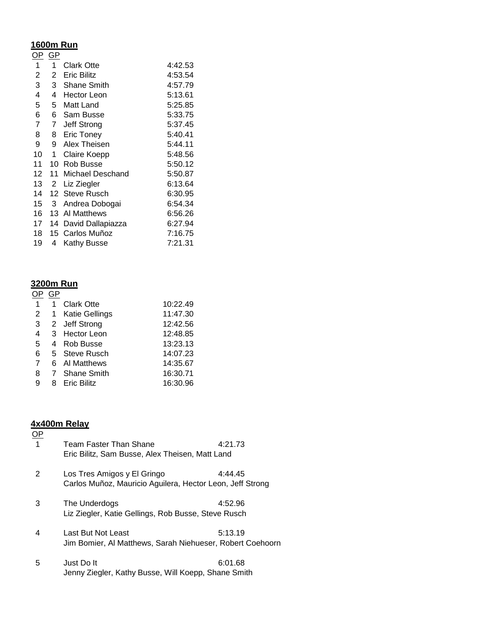## **1600m Run**

<u>OP\_GP</u>

| 1  | 1  | Clark Otte         | 4:42.53 |
|----|----|--------------------|---------|
| 2  | 2  | Eric Bilitz        | 4:53.54 |
| 3  | 3  | Shane Smith        | 4:57.79 |
| 4  | 4  | <b>Hector Leon</b> | 5:13.61 |
| 5  | 5  | Matt Land          | 5:25.85 |
| 6  | 6  | Sam Busse          | 5:33.75 |
| 7  | 7  | Jeff Strong        | 5:37.45 |
| 8  | 8  | Eric Toney         | 5:40.41 |
| 9  | 9  | Alex Theisen       | 5:44.11 |
| 10 | 1  | Claire Koepp       | 5:48.56 |
| 11 | 10 | Rob Busse          | 5:50.12 |
| 12 | 11 | Michael Deschand   | 5:50.87 |
| 13 | 2  | Liz Ziegler        | 6:13.64 |
| 14 | 12 | Steve Rusch        | 6:30.95 |
| 15 | 3  | Andrea Dobogai     | 6:54.34 |
| 16 | 13 | Al Matthews        | 6:56.26 |
| 17 | 14 | David Dallapiazza  | 6:27.94 |
| 18 | 15 | Carlos Muñoz       | 7:16.75 |
| 19 | 4  | <b>Kathy Busse</b> | 7:21.31 |
|    |    |                    |         |

## **3200m Run**

#### <u>OP\_GP</u>

| <b>Clark Otte</b><br>10:22.49                |  |
|----------------------------------------------|--|
| 11:47.30<br>2<br><b>Katie Gellings</b><br>1. |  |
| 12:42.56<br>2 Jeff Strong<br>3               |  |
| 12:48.85<br>4<br>3 Hector Leon               |  |
| 13:23.13<br>5<br><b>Rob Busse</b><br>4       |  |
| 14:07.23<br>6<br>5 Steve Rusch               |  |
| 14:35.67<br>7<br>6 Al Matthews               |  |
| 16:30.71<br>8<br>7 Shane Smith               |  |
| 16:30.96<br><b>Eric Bilitz</b><br>9<br>8     |  |

### **4x400m Relay**

| <u>OP</u>      |                                                                                          |         |
|----------------|------------------------------------------------------------------------------------------|---------|
| $\overline{1}$ | Team Faster Than Shane<br>Eric Bilitz, Sam Busse, Alex Theisen, Matt Land                | 4:21.73 |
| 2              | Los Tres Amigos y El Gringo<br>Carlos Muñoz, Mauricio Aguilera, Hector Leon, Jeff Strong | 4:44.45 |
| 3              | The Underdogs<br>Liz Ziegler, Katie Gellings, Rob Busse, Steve Rusch                     | 4:52.96 |
| 4              | Last But Not Least<br>Jim Bomier, Al Matthews, Sarah Niehueser, Robert Coehoorn          | 5:13.19 |
| 5              | Just Do It<br>Jenny Ziegler, Kathy Busse, Will Koepp, Shane Smith                        | 6:01.68 |